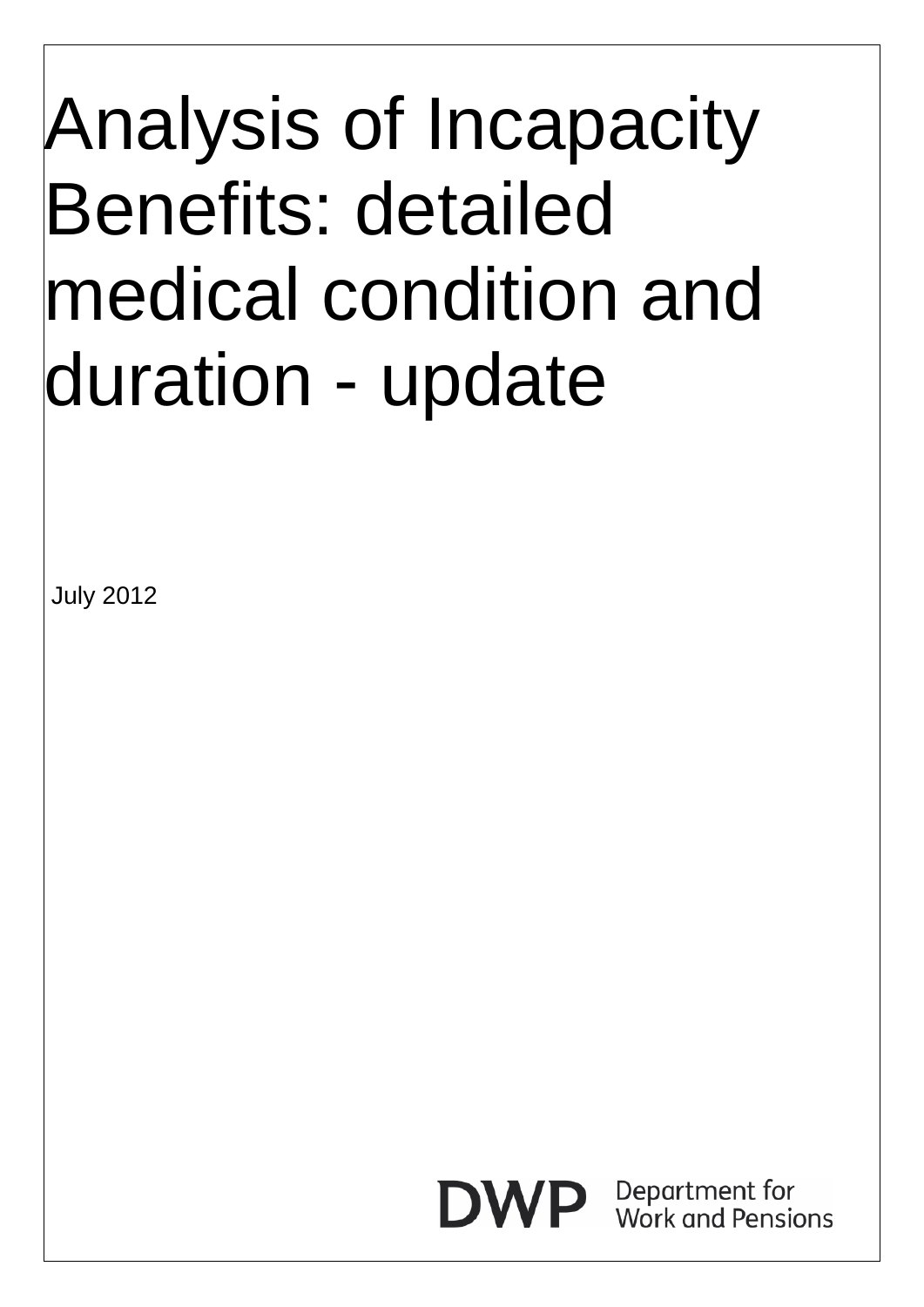## Analysis of Incapacity Benefits: detailed medical condition and duration - update

July 2012

Department for **Work and Pensions**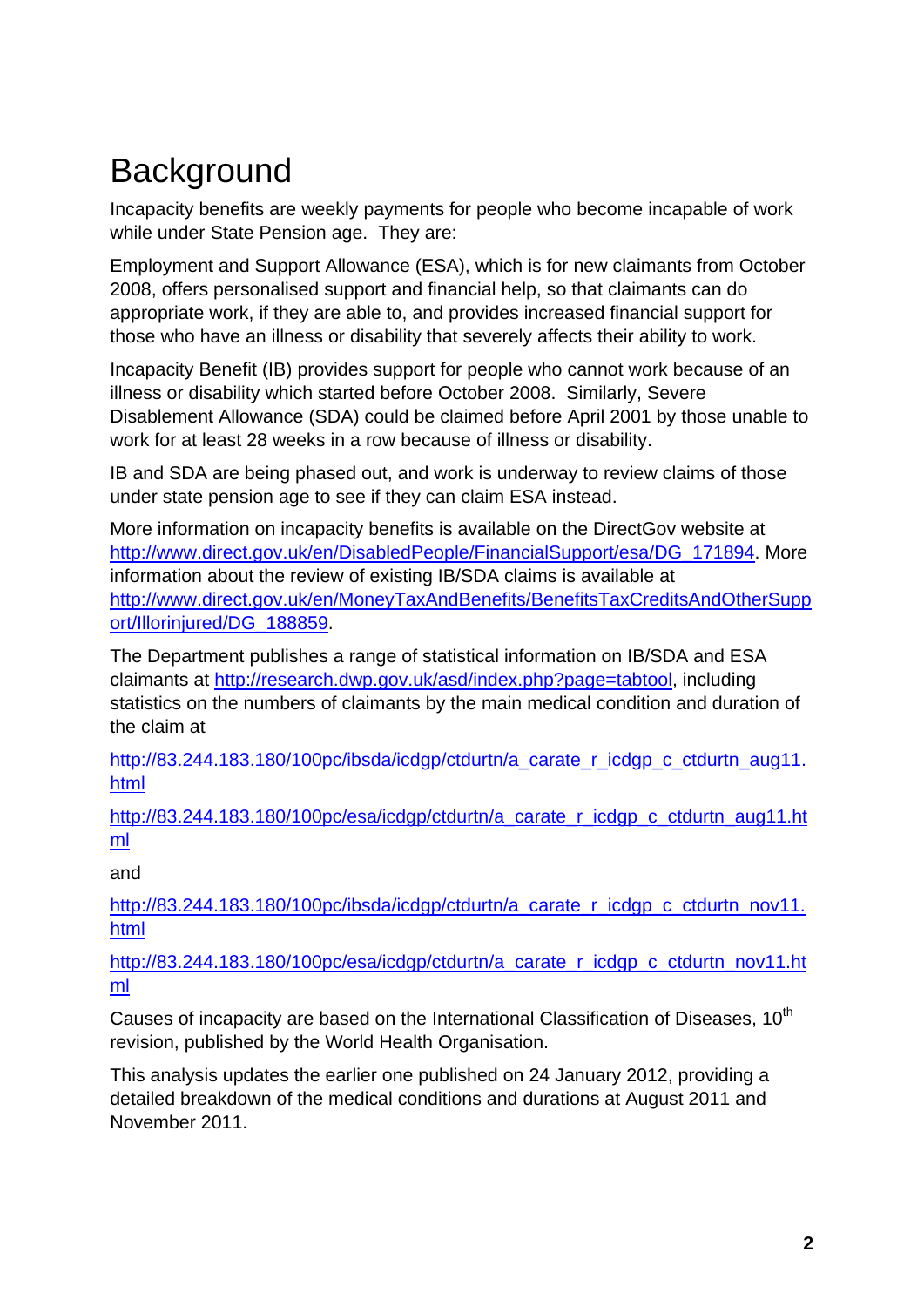## **Background**

Incapacity benefits are weekly payments for people who become incapable of work while under State Pension age. They are:

Employment and Support Allowance (ESA), which is for new claimants from October 2008, offers personalised support and financial help, so that claimants can do appropriate work, if they are able to, and provides increased financial support for those who have an illness or disability that severely affects their ability to work.

Incapacity Benefit (IB) provides support for people who cannot work because of an illness or disability which started before October 2008. Similarly, Severe Disablement Allowance (SDA) could be claimed before April 2001 by those unable to work for at least 28 weeks in a row because of illness or disability.

IB and SDA are being phased out, and work is underway to review claims of those under state pension age to see if they can claim ESA instead.

More information on incapacity benefits is available on the DirectGov website at http://www.direct.gov.uk/en/DisabledPeople/FinancialSupport/esa/DG\_171894. More information about the review of existing IB/SDA claims is available at http://www.direct.gov.uk/en/MoneyTaxAndBenefits/BenefitsTaxCreditsAndOtherSupp ort/Illorinjured/DG\_188859.

The Department publishes a range of statistical information on IB/SDA and ESA claimants at http://research.dwp.gov.uk/asd/index.php?page=tabtool, including statistics on the numbers of claimants by the main medical condition and duration of the claim at

http://83.244.183.180/100pc/ibsda/icdgp/ctdurtn/a\_carate\_r\_icdgp\_c\_ctdurtn\_aug11. html

http://83.244.183.180/100pc/esa/icdgp/ctdurtn/a\_carate\_r\_icdgp\_c\_ctdurtn\_aug11.ht ml

and

http://83.244.183.180/100pc/ibsda/icdgp/ctdurtn/a\_carate\_r\_icdgp\_c\_ctdurtn\_nov11. html

http://83.244.183.180/100pc/esa/icdgp/ctdurtn/a\_carate\_r\_icdgp\_c\_ctdurtn\_nov11.ht ml

Causes of incapacity are based on the International Classification of Diseases,  $10^{th}$ revision, published by the World Health Organisation.

This analysis updates the earlier one published on 24 January 2012, providing a detailed breakdown of the medical conditions and durations at August 2011 and November 2011.